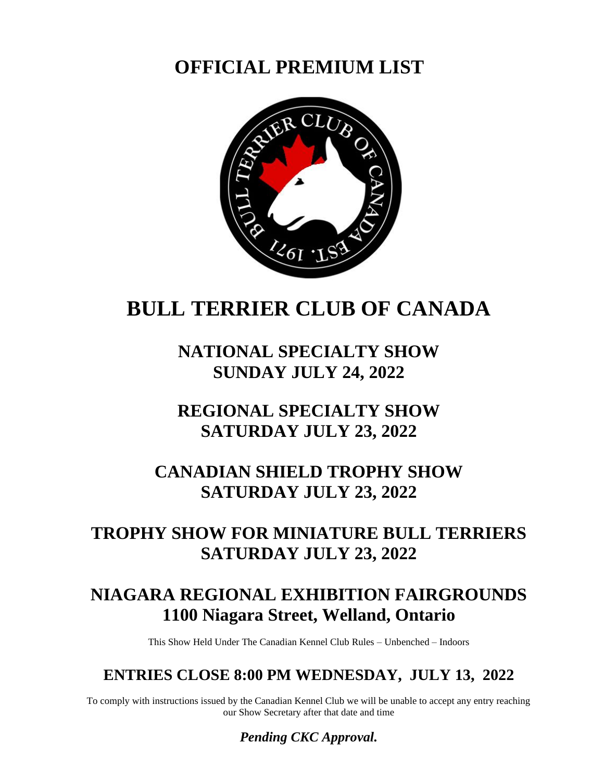**OFFICIAL PREMIUM LIST**



# **BULL TERRIER CLUB OF CANADA**

**NATIONAL SPECIALTY SHOW SUNDAY JULY 24, 2022**

# **REGIONAL SPECIALTY SHOW SATURDAY JULY 23, 2022**

# **CANADIAN SHIELD TROPHY SHOW SATURDAY JULY 23, 2022**

# **TROPHY SHOW FOR MINIATURE BULL TERRIERS SATURDAY JULY 23, 2022**

# **NIAGARA REGIONAL EXHIBITION FAIRGROUNDS 1100 Niagara Street, Welland, Ontario**

This Show Held Under The Canadian Kennel Club Rules – Unbenched – Indoors

## **ENTRIES CLOSE 8:00 PM WEDNESDAY, JULY 13, 2022**

To comply with instructions issued by the Canadian Kennel Club we will be unable to accept any entry reaching our Show Secretary after that date and time

*Pending CKC Approval.*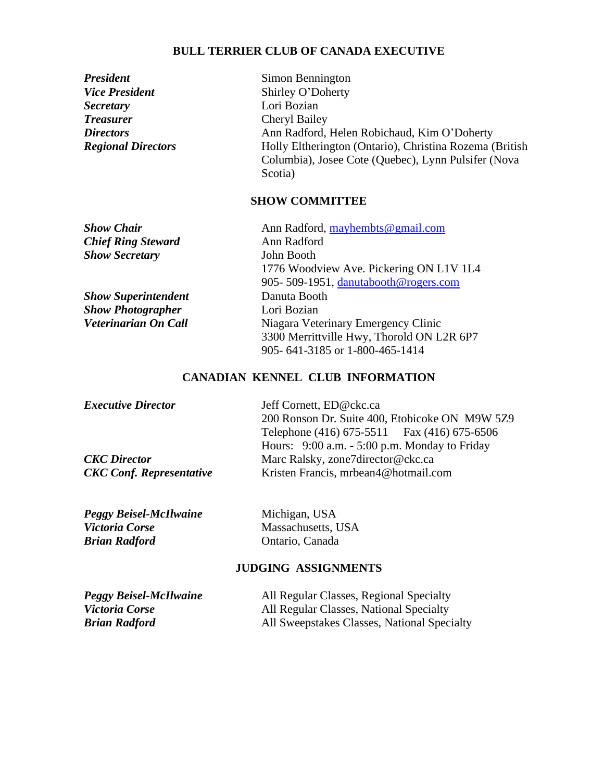### **BULL TERRIER CLUB OF CANADA EXECUTIVE**

| <b>President</b>          |  |
|---------------------------|--|
| <b>Vice President</b>     |  |
| <b>Secretary</b>          |  |
| <i>Treasurer</i>          |  |
| <b>Directors</b>          |  |
| <b>Regional Directors</b> |  |

**Simon Bennington Shirley O'Doherty** Lori Bozian **Cheryl Bailey** *Directors* Ann Radford, Helen Robichaud, Kim O'Doherty *Regional Directors* Holly Eltherington (Ontario), Christina Rozema (British Columbia), Josee Cote (Quebec), Lynn Pulsifer (Nova Scotia)

## **SHOW COMMITTEE**

| <b>Show Chair</b>          | Ann Radford, mayhembts@gmail.com          |
|----------------------------|-------------------------------------------|
| <b>Chief Ring Steward</b>  | Ann Radford                               |
| <b>Show Secretary</b>      | John Booth                                |
|                            | 1776 Woodview Ave. Pickering ON L1V 1L4   |
|                            | 905-509-1951, danutabooth@rogers.com      |
| <b>Show Superintendent</b> | Danuta Booth                              |
| <b>Show Photographer</b>   | Lori Bozian                               |
| Veterinarian On Call       | Niagara Veterinary Emergency Clinic       |
|                            | 3300 Merrittville Hwy, Thorold ON L2R 6P7 |
|                            | 905-641-3185 or 1-800-465-1414            |
|                            |                                           |

## **CANADIAN KENNEL CLUB INFORMATION**

| Jeff Cornett, ED@ckc.ca                        |
|------------------------------------------------|
| 200 Ronson Dr. Suite 400, Etobicoke ON M9W 5Z9 |
| Telephone (416) 675-5511 Fax (416) 675-6506    |
| Hours: 9:00 a.m. - 5:00 p.m. Monday to Friday  |
| Marc Ralsky, zone7director@ckc.ca              |
| Kristen Francis, mrbean4@hotmail.com           |
|                                                |

| <b>Peggy Beisel-McIlwaine</b> | Michigan, USA      |
|-------------------------------|--------------------|
| <i>Victoria Corse</i>         | Massachusetts, USA |
| <b>Brian Radford</b>          | Ontario, Canada    |

### **JUDGING ASSIGNMENTS**

| <b>Peggy Beisel-McIlwaine</b> | All Regular Classes, Regional Specialty     |
|-------------------------------|---------------------------------------------|
| <i>Victoria Corse</i>         | All Regular Classes, National Specialty     |
| <b>Brian Radford</b>          | All Sweepstakes Classes, National Specialty |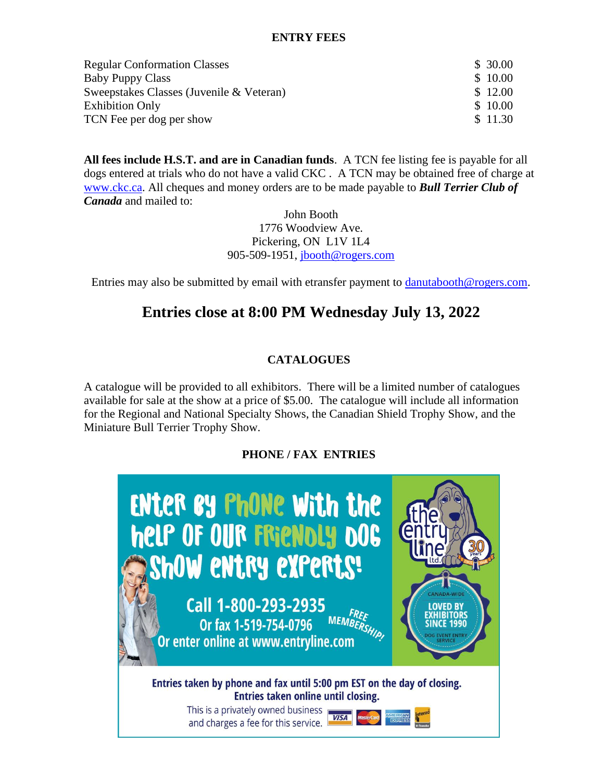### **ENTRY FEES**

| <b>Regular Conformation Classes</b>      | \$30.00 |
|------------------------------------------|---------|
| <b>Baby Puppy Class</b>                  | \$10.00 |
| Sweepstakes Classes (Juvenile & Veteran) | \$12.00 |
| <b>Exhibition Only</b>                   | \$10.00 |
| TCN Fee per dog per show                 | \$11.30 |

**All fees include H.S.T. and are in Canadian funds**. A TCN fee listing fee is payable for all dogs entered at trials who do not have a valid CKC . A TCN may be obtained free of charge at [www.ckc.ca.](http://www.ckc.ca/) All cheques and money orders are to be made payable to *Bull Terrier Club of Canada* and mailed to:

> John Booth 1776 Woodview Ave. Pickering, ON L1V 1L4 905-509-1951, [jbooth@rogers.com](mailto:jbooth@rogers.com)

Entries may also be submitted by email with etransfer payment to [danutabooth@rogers.com.](mailto:danutabooth@rogers.com)

## **Entries close at 8:00 PM Wednesday July 13, 2022**

### **CATALOGUES**

A catalogue will be provided to all exhibitors. There will be a limited number of catalogues available for sale at the show at a price of \$5.00. The catalogue will include all information for the Regional and National Specialty Shows, the Canadian Shield Trophy Show, and the Miniature Bull Terrier Trophy Show.

### **PHONE / FAX ENTRIES**

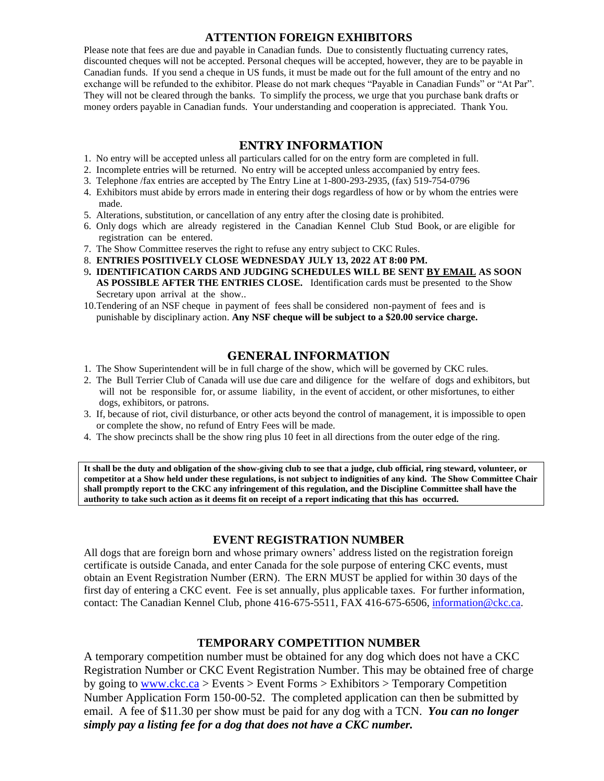### **ATTENTION FOREIGN EXHIBITORS**

Please note that fees are due and payable in Canadian funds. Due to consistently fluctuating currency rates, discounted cheques will not be accepted. Personal cheques will be accepted, however, they are to be payable in Canadian funds. If you send a cheque in US funds, it must be made out for the full amount of the entry and no exchange will be refunded to the exhibitor. Please do not mark cheques "Payable in Canadian Funds" or "At Par". They will not be cleared through the banks. To simplify the process, we urge that you purchase bank drafts or money orders payable in Canadian funds. Your understanding and cooperation is appreciated. Thank You.

### **ENTRY INFORMATION**

- 1. No entry will be accepted unless all particulars called for on the entry form are completed in full.
- 2. Incomplete entries will be returned. No entry will be accepted unless accompanied by entry fees.
- 3. Telephone /fax entries are accepted by The Entry Line at 1-800-293-2935, (fax) 519-754-0796
- 4. Exhibitors must abide by errors made in entering their dogs regardless of how or by whom the entries were made.
- 5. Alterations, substitution, or cancellation of any entry after the closing date is prohibited.
- 6. Only dogs which are already registered in the Canadian Kennel Club Stud Book, or are eligible for registration can be entered.
- 7. The Show Committee reserves the right to refuse any entry subject to CKC Rules.
- 8. **ENTRIES POSITIVELY CLOSE WEDNESDAY JULY 13, 2022 AT 8:00 PM.**
- 9**. IDENTIFICATION CARDS AND JUDGING SCHEDULES WILL BE SENT BY EMAIL AS SOON AS POSSIBLE AFTER THE ENTRIES CLOSE.** Identification cards must be presented to the Show Secretary upon arrival at the show..
- 10.Tendering of an NSF cheque in payment of fees shall be considered non-payment of fees and is punishable by disciplinary action. **Any NSF cheque will be subject to a \$20.00 service charge.**

### **GENERAL INFORMATION**

- 1. The Show Superintendent will be in full charge of the show, which will be governed by CKC rules.
- 2. The Bull Terrier Club of Canada will use due care and diligence for the welfare of dogs and exhibitors, but will not be responsible for, or assume liability, in the event of accident, or other misfortunes, to either dogs, exhibitors, or patrons.
- 3. If, because of riot, civil disturbance, or other acts beyond the control of management, it is impossible to open or complete the show, no refund of Entry Fees will be made.
- 4. The show precincts shall be the show ring plus 10 feet in all directions from the outer edge of the ring.

**It shall be the duty and obligation of the show-giving club to see that a judge, club official, ring steward, volunteer, or competitor at a Show held under these regulations, is not subject to indignities of any kind. The Show Committee Chair shall promptly report to the CKC any infringement of this regulation, and the Discipline Committee shall have the authority to take such action as it deems fit on receipt of a report indicating that this has occurred.**

### **EVENT REGISTRATION NUMBER**

All dogs that are foreign born and whose primary owners' address listed on the registration foreign certificate is outside Canada, and enter Canada for the sole purpose of entering CKC events, must obtain an Event Registration Number (ERN). The ERN MUST be applied for within 30 days of the first day of entering a CKC event. Fee is set annually, plus applicable taxes. For further information, contact: The Canadian Kennel Club, phone 416-675-5511, FAX 416-675-6506, [information@ckc.ca.](mailto:information@ckc.ca)

### **TEMPORARY COMPETITION NUMBER**

A temporary competition number must be obtained for any dog which does not have a CKC Registration Number or CKC Event Registration Number. This may be obtained free of charge by going to  $\frac{www.ckc.ca}{www.ckc.ca}$  > Events > Event Forms > Exhibitors > Temporary Competition Number Application Form 150-00-52. The completed application can then be submitted by email. A fee of \$11.30 per show must be paid for any dog with a TCN. *You can no longer simply pay a listing fee for a dog that does not have a CKC number.*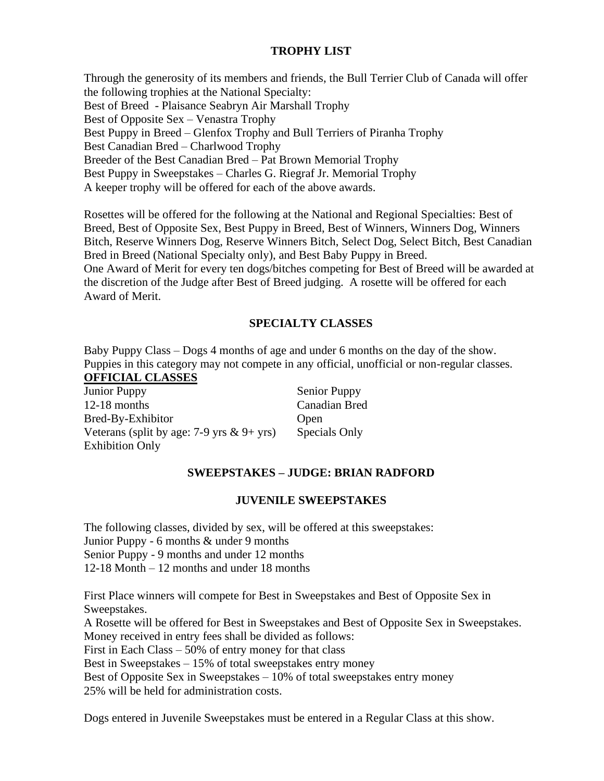## **TROPHY LIST**

Through the generosity of its members and friends, the Bull Terrier Club of Canada will offer the following trophies at the National Specialty: Best of Breed - Plaisance Seabryn Air Marshall Trophy Best of Opposite Sex – Venastra Trophy Best Puppy in Breed – Glenfox Trophy and Bull Terriers of Piranha Trophy Best Canadian Bred – Charlwood Trophy Breeder of the Best Canadian Bred – Pat Brown Memorial Trophy Best Puppy in Sweepstakes – Charles G. Riegraf Jr. Memorial Trophy A keeper trophy will be offered for each of the above awards.

Rosettes will be offered for the following at the National and Regional Specialties: Best of Breed, Best of Opposite Sex, Best Puppy in Breed, Best of Winners, Winners Dog, Winners Bitch, Reserve Winners Dog, Reserve Winners Bitch, Select Dog, Select Bitch, Best Canadian Bred in Breed (National Specialty only), and Best Baby Puppy in Breed. One Award of Merit for every ten dogs/bitches competing for Best of Breed will be awarded at the discretion of the Judge after Best of Breed judging. A rosette will be offered for each Award of Merit.

## **SPECIALTY CLASSES**

Baby Puppy Class – Dogs 4 months of age and under 6 months on the day of the show. Puppies in this category may not compete in any official, unofficial or non-regular classes. **OFFICIAL CLASSES**

| <b>Junior Puppy</b>                          | Senior Puppy  |
|----------------------------------------------|---------------|
| $12-18$ months                               | Canadian Bred |
| Bred-By-Exhibitor                            | Open          |
| Veterans (split by age: 7-9 yrs $\&$ 9+ yrs) | Specials Only |
| <b>Exhibition Only</b>                       |               |

## **SWEEPSTAKES – JUDGE: BRIAN RADFORD**

### **JUVENILE SWEEPSTAKES**

The following classes, divided by sex, will be offered at this sweepstakes: Junior Puppy - 6 months & under 9 months Senior Puppy - 9 months and under 12 months 12-18 Month – 12 months and under 18 months

First Place winners will compete for Best in Sweepstakes and Best of Opposite Sex in Sweepstakes.

A Rosette will be offered for Best in Sweepstakes and Best of Opposite Sex in Sweepstakes. Money received in entry fees shall be divided as follows:

First in Each Class – 50% of entry money for that class

Best in Sweepstakes – 15% of total sweepstakes entry money

Best of Opposite Sex in Sweepstakes –  $10\%$  of total sweepstakes entry money

25% will be held for administration costs.

Dogs entered in Juvenile Sweepstakes must be entered in a Regular Class at this show.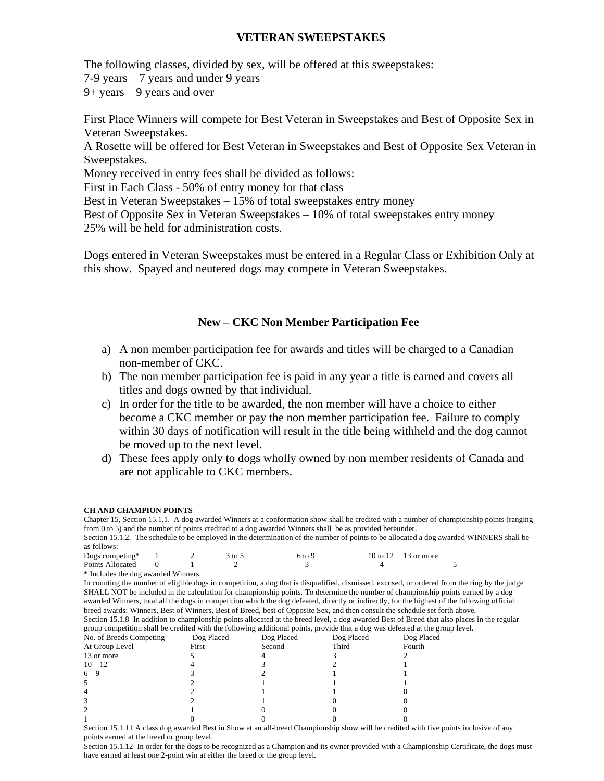### **VETERAN SWEEPSTAKES**

The following classes, divided by sex, will be offered at this sweepstakes:

7-9 years – 7 years and under 9 years

9+ years – 9 years and over

First Place Winners will compete for Best Veteran in Sweepstakes and Best of Opposite Sex in Veteran Sweepstakes.

A Rosette will be offered for Best Veteran in Sweepstakes and Best of Opposite Sex Veteran in Sweepstakes.

Money received in entry fees shall be divided as follows:

First in Each Class - 50% of entry money for that class

Best in Veteran Sweepstakes – 15% of total sweepstakes entry money

Best of Opposite Sex in Veteran Sweepstakes – 10% of total sweepstakes entry money 25% will be held for administration costs.

Dogs entered in Veteran Sweepstakes must be entered in a Regular Class or Exhibition Only at this show. Spayed and neutered dogs may compete in Veteran Sweepstakes.

### **New – CKC Non Member Participation Fee**

- a) A non member participation fee for awards and titles will be charged to a Canadian non-member of CKC.
- b) The non member participation fee is paid in any year a title is earned and covers all titles and dogs owned by that individual.
- c) In order for the title to be awarded, the non member will have a choice to either become a CKC member or pay the non member participation fee. Failure to comply within 30 days of notification will result in the title being withheld and the dog cannot be moved up to the next level.
- d) These fees apply only to dogs wholly owned by non member residents of Canada and are not applicable to CKC members.

#### **CH AND CHAMPION POINTS**

Chapter 15, Section 15.1.1. A dog awarded Winners at a conformation show shall be credited with a number of championship points (ranging from 0 to 5) and the number of points credited to a dog awarded Winners shall be as provided hereunder.

Section 15.1.2. The schedule to be employed in the determination of the number of points to be allocated a dog awarded WINNERS shall be as follows:

| Dogs competing*  |  | 3 to 5 | 6 to 9 | 10 to 12 13 or more |  |
|------------------|--|--------|--------|---------------------|--|
| Points Allocated |  |        |        |                     |  |
| .                |  |        |        |                     |  |

\* Includes the dog awarded Winners.

In counting the number of eligible dogs in competition, a dog that is disqualified, dismissed, excused, or ordered from the ring by the judge SHALL NOT be included in the calculation for championship points. To determine the number of championship points earned by a dog awarded Winners, total all the dogs in competition which the dog defeated, directly or indirectly, for the highest of the following official breed awards: Winners, Best of Winners, Best of Breed, best of Opposite Sex, and then consult the schedule set forth above. Section 15.1.8 In addition to championship points allocated at the breed level, a dog awarded Best of Breed that also places in the regular group competition shall be credited with the following additional points, provide that a dog was defeated at the group level.

| group competition shall be credited with the ronowing additional politis, provide that a dog was deleated at the g |            |            |            |            |
|--------------------------------------------------------------------------------------------------------------------|------------|------------|------------|------------|
| No. of Breeds Competing                                                                                            | Dog Placed | Dog Placed | Dog Placed | Dog Placed |
| At Group Level                                                                                                     | First      | Second     | Third      | Fourth     |
| 13 or more                                                                                                         |            |            |            |            |
| $10 - 12$                                                                                                          |            |            |            |            |
| $6 - 9$                                                                                                            |            |            |            |            |
|                                                                                                                    |            |            |            |            |
|                                                                                                                    |            |            |            |            |
|                                                                                                                    |            |            |            |            |
|                                                                                                                    |            |            |            |            |
|                                                                                                                    |            |            |            |            |

Section 15.1.11 A class dog awarded Best in Show at an all-breed Championship show will be credited with five points inclusive of any points earned at the breed or group level.

Section 15.1.12 In order for the dogs to be recognized as a Champion and its owner provided with a Championship Certificate, the dogs must have earned at least one 2-point win at either the breed or the group level.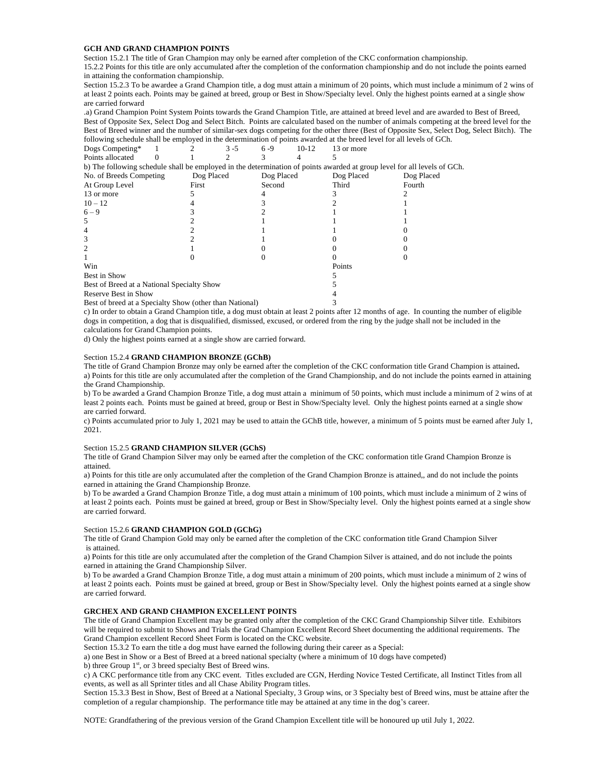#### **GCH AND GRAND CHAMPION POINTS**

Section 15.2.1 The title of Gran Champion may only be earned after completion of the CKC conformation championship.

15.2.2 Points for this title are only accumulated after the completion of the conformation championship and do not include the points earned in attaining the conformation championship.

Section 15.2.3 To be awardee a Grand Champion title, a dog must attain a minimum of 20 points, which must include a minimum of 2 wins of at least 2 points each. Points may be gained at breed, group or Best in Show/Specialty level. Only the highest points earned at a single show are carried forward

.a) Grand Champion Point System Points towards the Grand Champion Title, are attained at breed level and are awarded to Best of Breed, Best of Opposite Sex, Select Dog and Select Bitch. Points are calculated based on the number of animals competing at the breed level for the Best of Breed winner and the number of similar-sex dogs competing for the other three (Best of Opposite Sex, Select Dog, Select Bitch). The following schedule shall be employed in the determination of points awarded at the breed level for all levels of GCh.

| Dogs Competing*                            |            | $3 - 5$ | $6 - 9$    | $10-12$ | 13 or more                                                                                                               |            |
|--------------------------------------------|------------|---------|------------|---------|--------------------------------------------------------------------------------------------------------------------------|------------|
| Points allocated                           |            |         |            |         |                                                                                                                          |            |
|                                            |            |         |            |         | b) The following schedule shall be employed in the determination of points awarded at group level for all levels of GCh. |            |
| No. of Breeds Competing                    | Dog Placed |         | Dog Placed |         | Dog Placed                                                                                                               | Dog Placed |
| At Group Level                             | First      |         | Second     |         | Third                                                                                                                    | Fourth     |
| 13 or more                                 |            |         |            |         |                                                                                                                          |            |
| $10 - 12$                                  |            |         |            |         |                                                                                                                          |            |
| $6 - 9$                                    |            |         |            |         |                                                                                                                          |            |
| 5                                          |            |         |            |         |                                                                                                                          |            |
|                                            |            |         |            |         |                                                                                                                          |            |
|                                            |            |         |            |         |                                                                                                                          |            |
|                                            |            |         |            |         |                                                                                                                          |            |
|                                            |            |         |            |         |                                                                                                                          |            |
| Win                                        |            |         |            |         | Points                                                                                                                   |            |
| Best in Show                               |            |         |            |         |                                                                                                                          |            |
| Best of Breed at a National Specialty Show |            |         |            |         |                                                                                                                          |            |
| Reserve Best in Show                       |            |         |            |         |                                                                                                                          |            |

Best of breed at a Specialty Show (other than National) 3

c) In order to obtain a Grand Champion title, a dog must obtain at least 2 points after 12 months of age. In counting the number of eligible dogs in competition, a dog that is disqualified, dismissed, excused, or ordered from the ring by the judge shall not be included in the calculations for Grand Champion points.

d) Only the highest points earned at a single show are carried forward.

#### Section 15.2.4 **GRAND CHAMPION BRONZE (GChB)**

The title of Grand Champion Bronze may only be earned after the completion of the CKC conformation title Grand Champion is attained**.** a) Points for this title are only accumulated after the completion of the Grand Championship, and do not include the points earned in attaining the Grand Championship.

b) To be awarded a Grand Champion Bronze Title, a dog must attain a minimum of 50 points, which must include a minimum of 2 wins of at least 2 points each. Points must be gained at breed, group or Best in Show/Specialty level. Only the highest points earned at a single show are carried forward.

c) Points accumulated prior to July 1, 2021 may be used to attain the GChB title, however, a minimum of 5 points must be earned after July 1, 2021.

#### Section 15.2.5 **GRAND CHAMPION SILVER (GChS)**

The title of Grand Champion Silver may only be earned after the completion of the CKC conformation title Grand Champion Bronze is attained.

a) Points for this title are only accumulated after the completion of the Grand Champion Bronze is attained,, and do not include the points earned in attaining the Grand Championship Bronze.

b) To be awarded a Grand Champion Bronze Title, a dog must attain a minimum of 100 points, which must include a minimum of 2 wins of at least 2 points each. Points must be gained at breed, group or Best in Show/Specialty level. Only the highest points earned at a single show are carried forward.

#### Section 15.2.6 **GRAND CHAMPION GOLD (GChG)**

The title of Grand Champion Gold may only be earned after the completion of the CKC conformation title Grand Champion Silver is attained.

a) Points for this title are only accumulated after the completion of the Grand Champion Silver is attained, and do not include the points earned in attaining the Grand Championship Silver.

b) To be awarded a Grand Champion Bronze Title, a dog must attain a minimum of 200 points, which must include a minimum of 2 wins of at least 2 points each. Points must be gained at breed, group or Best in Show/Specialty level. Only the highest points earned at a single show are carried forward.

#### **GRCHEX AND GRAND CHAMPION EXCELLENT POINTS**

The title of Grand Champion Excellent may be granted only after the completion of the CKC Grand Championship Silver title. Exhibitors will be required to submit to Shows and Trials the Grad Champion Excellent Record Sheet documenting the additional requirements. The Grand Champion excellent Record Sheet Form is located on the CKC website.

Section 15.3.2 To earn the title a dog must have earned the following during their career as a Special:

a) one Best in Show or a Best of Breed at a breed national specialty (where a minimum of 10 dogs have competed)

b) three Group 1<sup>st</sup>, or 3 breed specialty Best of Breed wins.

c) A CKC performance title from any CKC event. Titles excluded are CGN, Herding Novice Tested Certificate, all Instinct Titles from all events, as well as all Sprinter titles and all Chase Ability Program titles.

Section 15.3.3 Best in Show, Best of Breed at a National Specialty, 3 Group wins, or 3 Specialty best of Breed wins, must be attaine after the completion of a regular championship. The performance title may be attained at any time in the dog's career.

NOTE: Grandfathering of the previous version of the Grand Champion Excellent title will be honoured up util July 1, 2022.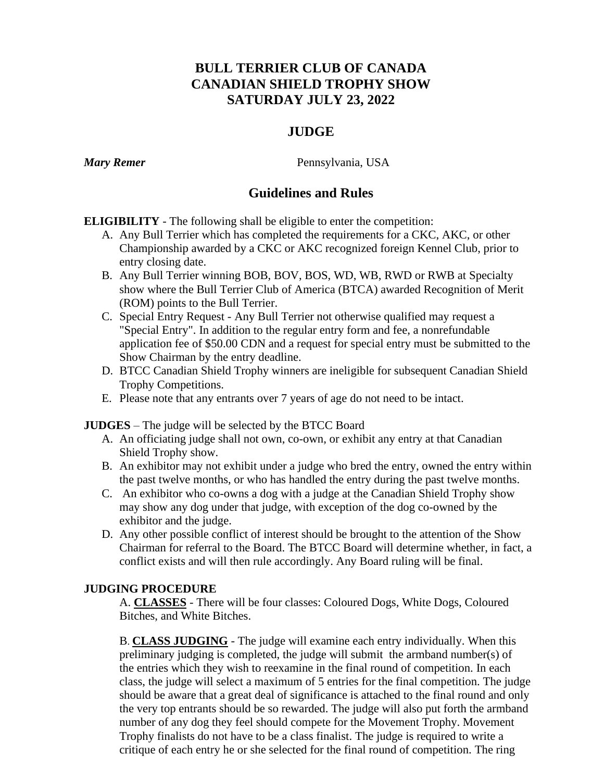## **BULL TERRIER CLUB OF CANADA CANADIAN SHIELD TROPHY SHOW SATURDAY JULY 23, 2022**

## **JUDGE**

*Mary Remer* Pennsylvania, USA

## **Guidelines and Rules**

**ELIGIBILITY** - The following shall be eligible to enter the competition:

- A. Any Bull Terrier which has completed the requirements for a CKC, AKC, or other Championship awarded by a CKC or AKC recognized foreign Kennel Club, prior to entry closing date.
- B. Any Bull Terrier winning BOB, BOV, BOS, WD, WB, RWD or RWB at Specialty show where the Bull Terrier Club of America (BTCA) awarded Recognition of Merit (ROM) points to the Bull Terrier.
- C. Special Entry Request Any Bull Terrier not otherwise qualified may request a "Special Entry". In addition to the regular entry form and fee, a nonrefundable application fee of \$50.00 CDN and a request for special entry must be submitted to the Show Chairman by the entry deadline.
- D. BTCC Canadian Shield Trophy winners are ineligible for subsequent Canadian Shield Trophy Competitions.
- E. Please note that any entrants over 7 years of age do not need to be intact.

**JUDGES** – The judge will be selected by the BTCC Board

- A. An officiating judge shall not own, co-own, or exhibit any entry at that Canadian Shield Trophy show.
- B. An exhibitor may not exhibit under a judge who bred the entry, owned the entry within the past twelve months, or who has handled the entry during the past twelve months.
- C. An exhibitor who co-owns a dog with a judge at the Canadian Shield Trophy show may show any dog under that judge, with exception of the dog co-owned by the exhibitor and the judge.
- D. Any other possible conflict of interest should be brought to the attention of the Show Chairman for referral to the Board. The BTCC Board will determine whether, in fact, a conflict exists and will then rule accordingly. Any Board ruling will be final.

## **JUDGING PROCEDURE**

A. **CLASSES** - There will be four classes: Coloured Dogs, White Dogs, Coloured Bitches, and White Bitches.

B. **CLASS JUDGING** - The judge will examine each entry individually. When this preliminary judging is completed, the judge will submit the armband number(s) of the entries which they wish to reexamine in the final round of competition. In each class, the judge will select a maximum of 5 entries for the final competition. The judge should be aware that a great deal of significance is attached to the final round and only the very top entrants should be so rewarded. The judge will also put forth the armband number of any dog they feel should compete for the Movement Trophy. Movement Trophy finalists do not have to be a class finalist. The judge is required to write a critique of each entry he or she selected for the final round of competition. The ring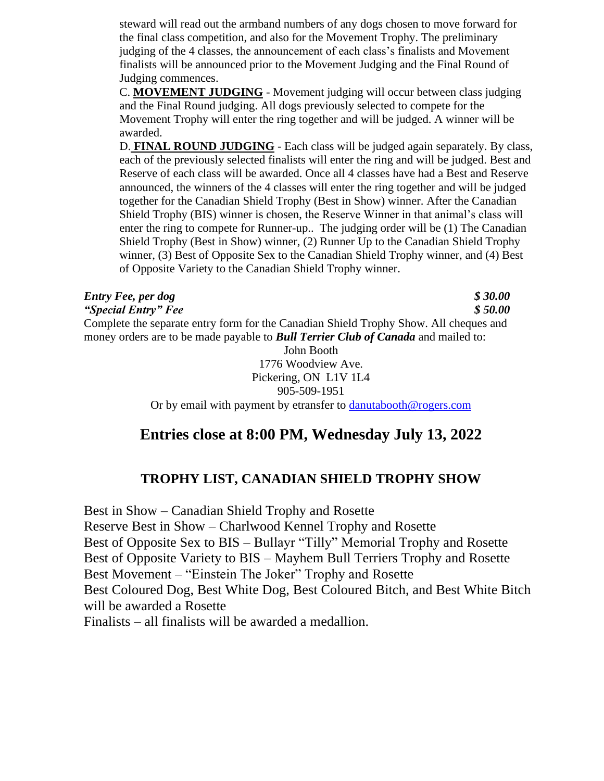steward will read out the armband numbers of any dogs chosen to move forward for the final class competition, and also for the Movement Trophy. The preliminary judging of the 4 classes, the announcement of each class's finalists and Movement finalists will be announced prior to the Movement Judging and the Final Round of Judging commences.

C. **MOVEMENT JUDGING** - Movement judging will occur between class judging and the Final Round judging. All dogs previously selected to compete for the Movement Trophy will enter the ring together and will be judged. A winner will be awarded.

D. **FINAL ROUND JUDGING** - Each class will be judged again separately. By class, each of the previously selected finalists will enter the ring and will be judged. Best and Reserve of each class will be awarded. Once all 4 classes have had a Best and Reserve announced, the winners of the 4 classes will enter the ring together and will be judged together for the Canadian Shield Trophy (Best in Show) winner. After the Canadian Shield Trophy (BIS) winner is chosen, the Reserve Winner in that animal's class will enter the ring to compete for Runner-up.. The judging order will be (1) The Canadian Shield Trophy (Best in Show) winner, (2) Runner Up to the Canadian Shield Trophy winner, (3) Best of Opposite Sex to the Canadian Shield Trophy winner, and (4) Best of Opposite Variety to the Canadian Shield Trophy winner.

*Entry Fee, per dog \$ 30.00*

*"Special Entry" Fee \$ 50.00* Complete the separate entry form for the Canadian Shield Trophy Show. All cheques and money orders are to be made payable to *Bull Terrier Club of Canada* and mailed to:

John Booth 1776 Woodview Ave. Pickering, ON L1V 1L4 905-509-1951

Or by email with payment by etransfer to [danutabooth@rogers.com](mailto:danutabooth@rogers.com)

## **Entries close at 8:00 PM, Wednesday July 13, 2022**

## **TROPHY LIST, CANADIAN SHIELD TROPHY SHOW**

Best in Show – Canadian Shield Trophy and Rosette Reserve Best in Show – Charlwood Kennel Trophy and Rosette Best of Opposite Sex to BIS – Bullayr "Tilly" Memorial Trophy and Rosette Best of Opposite Variety to BIS – Mayhem Bull Terriers Trophy and Rosette Best Movement – "Einstein The Joker" Trophy and Rosette Best Coloured Dog, Best White Dog, Best Coloured Bitch, and Best White Bitch will be awarded a Rosette Finalists – all finalists will be awarded a medallion.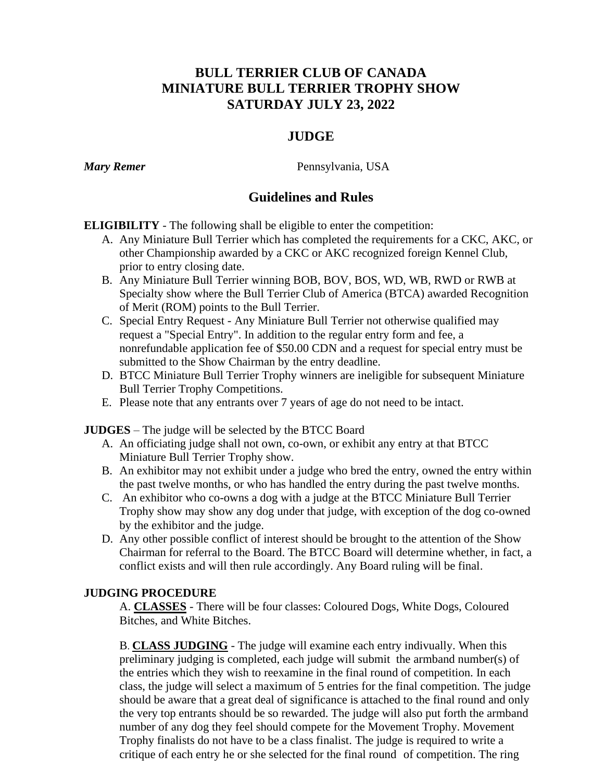## **BULL TERRIER CLUB OF CANADA MINIATURE BULL TERRIER TROPHY SHOW SATURDAY JULY 23, 2022**

## **JUDGE**

*Mary Remer* Pennsylvania, USA

## **Guidelines and Rules**

**ELIGIBILITY** - The following shall be eligible to enter the competition:

- A. Any Miniature Bull Terrier which has completed the requirements for a CKC, AKC, or other Championship awarded by a CKC or AKC recognized foreign Kennel Club, prior to entry closing date.
- B. Any Miniature Bull Terrier winning BOB, BOV, BOS, WD, WB, RWD or RWB at Specialty show where the Bull Terrier Club of America (BTCA) awarded Recognition of Merit (ROM) points to the Bull Terrier.
- C. Special Entry Request Any Miniature Bull Terrier not otherwise qualified may request a "Special Entry". In addition to the regular entry form and fee, a nonrefundable application fee of \$50.00 CDN and a request for special entry must be submitted to the Show Chairman by the entry deadline.
- D. BTCC Miniature Bull Terrier Trophy winners are ineligible for subsequent Miniature Bull Terrier Trophy Competitions.
- E. Please note that any entrants over 7 years of age do not need to be intact.

**JUDGES** – The judge will be selected by the BTCC Board

- A. An officiating judge shall not own, co-own, or exhibit any entry at that BTCC Miniature Bull Terrier Trophy show.
- B. An exhibitor may not exhibit under a judge who bred the entry, owned the entry within the past twelve months, or who has handled the entry during the past twelve months.
- C. An exhibitor who co-owns a dog with a judge at the BTCC Miniature Bull Terrier Trophy show may show any dog under that judge, with exception of the dog co-owned by the exhibitor and the judge.
- D. Any other possible conflict of interest should be brought to the attention of the Show Chairman for referral to the Board. The BTCC Board will determine whether, in fact, a conflict exists and will then rule accordingly. Any Board ruling will be final.

## **JUDGING PROCEDURE**

A. **CLASSES** - There will be four classes: Coloured Dogs, White Dogs, Coloured Bitches, and White Bitches.

B. **CLASS JUDGING** - The judge will examine each entry indivually. When this preliminary judging is completed, each judge will submit the armband number(s) of the entries which they wish to reexamine in the final round of competition. In each class, the judge will select a maximum of 5 entries for the final competition. The judge should be aware that a great deal of significance is attached to the final round and only the very top entrants should be so rewarded. The judge will also put forth the armband number of any dog they feel should compete for the Movement Trophy. Movement Trophy finalists do not have to be a class finalist. The judge is required to write a critique of each entry he or she selected for the final round of competition. The ring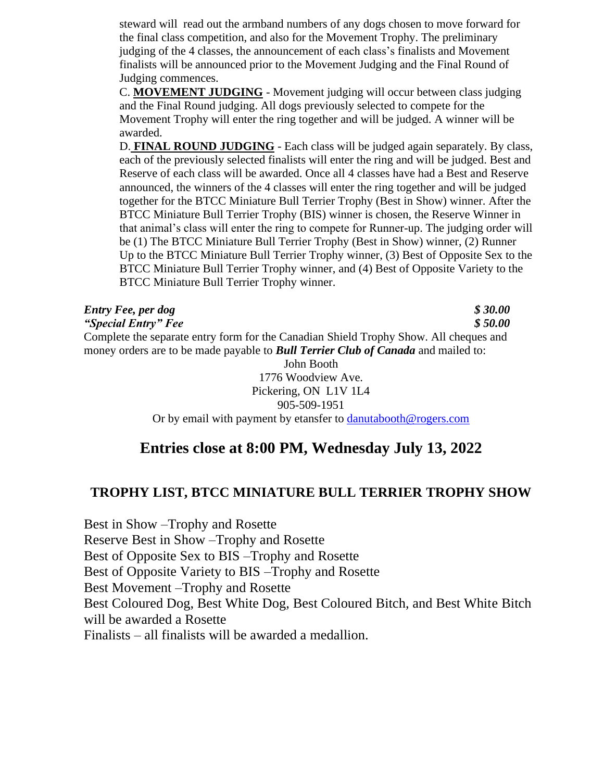steward will read out the armband numbers of any dogs chosen to move forward for the final class competition, and also for the Movement Trophy. The preliminary judging of the 4 classes, the announcement of each class's finalists and Movement finalists will be announced prior to the Movement Judging and the Final Round of Judging commences.

C. **MOVEMENT JUDGING** - Movement judging will occur between class judging and the Final Round judging. All dogs previously selected to compete for the Movement Trophy will enter the ring together and will be judged. A winner will be awarded.

D. **FINAL ROUND JUDGING** - Each class will be judged again separately. By class, each of the previously selected finalists will enter the ring and will be judged. Best and Reserve of each class will be awarded. Once all 4 classes have had a Best and Reserve announced, the winners of the 4 classes will enter the ring together and will be judged together for the BTCC Miniature Bull Terrier Trophy (Best in Show) winner. After the BTCC Miniature Bull Terrier Trophy (BIS) winner is chosen, the Reserve Winner in that animal's class will enter the ring to compete for Runner-up. The judging order will be (1) The BTCC Miniature Bull Terrier Trophy (Best in Show) winner, (2) Runner Up to the BTCC Miniature Bull Terrier Trophy winner, (3) Best of Opposite Sex to the BTCC Miniature Bull Terrier Trophy winner, and (4) Best of Opposite Variety to the BTCC Miniature Bull Terrier Trophy winner.

| <b>Entry Fee, per dog</b>                                                                | \$30.00 |
|------------------------------------------------------------------------------------------|---------|
| "Special Entry" Fee                                                                      | \$50.00 |
| Complete the separate entry form for the Canadian Shield Trophy Show. All cheques and    |         |
| money orders are to be made payable to <b>Bull Terrier Club of Canada</b> and mailed to: |         |

John Booth 1776 Woodview Ave. Pickering, ON L1V 1L4 905-509-1951 Or by email with payment by etansfer to [danutabooth@rogers.com](mailto:danutabooth@rogers.com)

## **Entries close at 8:00 PM, Wednesday July 13, 2022**

## **TROPHY LIST, BTCC MINIATURE BULL TERRIER TROPHY SHOW**

Best in Show –Trophy and Rosette Reserve Best in Show –Trophy and Rosette Best of Opposite Sex to BIS –Trophy and Rosette Best of Opposite Variety to BIS –Trophy and Rosette Best Movement –Trophy and Rosette Best Coloured Dog, Best White Dog, Best Coloured Bitch, and Best White Bitch will be awarded a Rosette Finalists – all finalists will be awarded a medallion.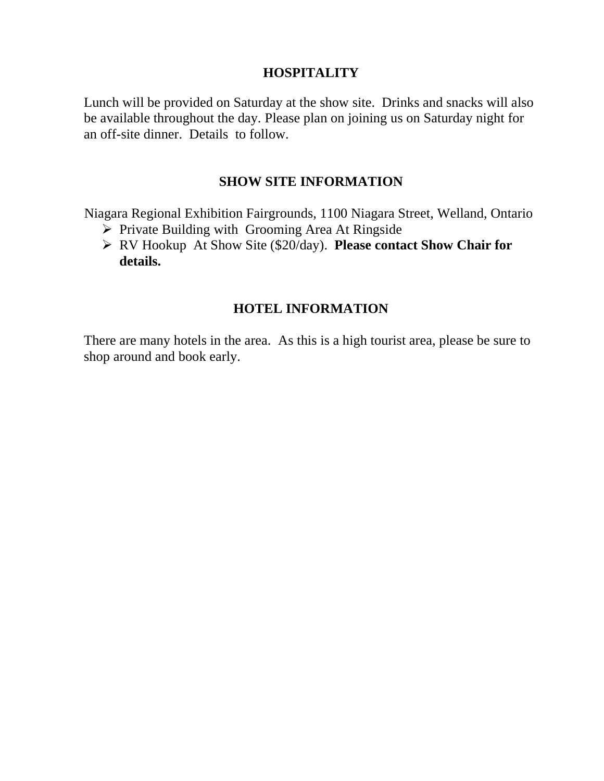## **HOSPITALITY**

Lunch will be provided on Saturday at the show site. Drinks and snacks will also be available throughout the day. Please plan on joining us on Saturday night for an off-site dinner. Details to follow.

## **SHOW SITE INFORMATION**

Niagara Regional Exhibition Fairgrounds, 1100 Niagara Street, Welland, Ontario

- ➢ Private Building with Grooming Area At Ringside
- ➢ RV Hookup At Show Site (\$20/day). **Please contact Show Chair for details.**

## **HOTEL INFORMATION**

There are many hotels in the area. As this is a high tourist area, please be sure to shop around and book early.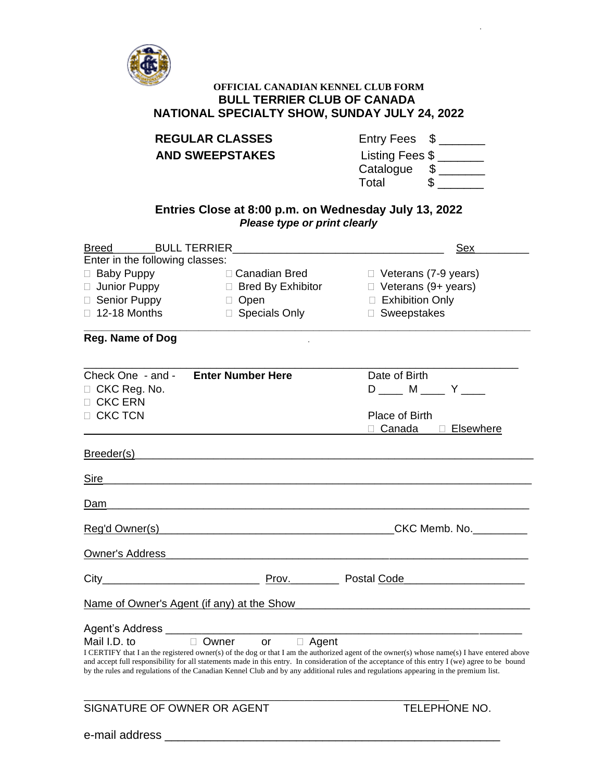

## **OFFICIAL CANADIAN KENNEL CLUB FORM BULL TERRIER CLUB OF CANADA NATIONAL SPECIALTY SHOW, SUNDAY JULY 24, 2022**

| <b>REGULAR CLASSES</b> |
|------------------------|
| <b>AND SWEEPSTAKES</b> |

| <b>REGULAR CLASSES</b> | Entry Fees \$   |
|------------------------|-----------------|
| <b>AND SWEEPSTAKES</b> | Listing Fees \$ |
|                        | Catalogue       |

| valaloyuu | u |
|-----------|---|
| Total     |   |
|           |   |

### **Entries Close at 8:00 p.m. on Wednesday July 13, 2022** *Please type or print clearly*

| <b>Breed</b>                                                     | <b>BULL TERRIER</b>           | <u>Sex</u>                                                                                                                                                                                                                                                                                                                                                                                                                            |
|------------------------------------------------------------------|-------------------------------|---------------------------------------------------------------------------------------------------------------------------------------------------------------------------------------------------------------------------------------------------------------------------------------------------------------------------------------------------------------------------------------------------------------------------------------|
| Enter in the following classes:                                  |                               |                                                                                                                                                                                                                                                                                                                                                                                                                                       |
| <b>Baby Puppy</b><br>$\Box$                                      | □ Canadian Bred               | $\Box$ Veterans (7-9 years)                                                                                                                                                                                                                                                                                                                                                                                                           |
| □ Junior Puppy                                                   | $\Box$ Bred By Exhibitor      | $\Box$ Veterans (9+ years)                                                                                                                                                                                                                                                                                                                                                                                                            |
| □ Senior Puppy                                                   | $\Box$ Open                   | $\Box$ Exhibition Only                                                                                                                                                                                                                                                                                                                                                                                                                |
| □ 12-18 Months                                                   | □ Specials Only               | □ Sweepstakes                                                                                                                                                                                                                                                                                                                                                                                                                         |
| <b>Reg. Name of Dog</b>                                          |                               |                                                                                                                                                                                                                                                                                                                                                                                                                                       |
| Check One - and -<br>CKC Reg. No.<br>□ CKC ERN<br>$\Box$ CKC TCN | <b>Enter Number Here</b>      | Date of Birth<br>D ____ M ____ Y ____<br><b>Place of Birth</b>                                                                                                                                                                                                                                                                                                                                                                        |
|                                                                  |                               | □ Canada<br><b>Elsewhere</b><br>П.                                                                                                                                                                                                                                                                                                                                                                                                    |
| Breeder(s)_________                                              |                               |                                                                                                                                                                                                                                                                                                                                                                                                                                       |
| Sire                                                             |                               |                                                                                                                                                                                                                                                                                                                                                                                                                                       |
| Dam                                                              |                               |                                                                                                                                                                                                                                                                                                                                                                                                                                       |
| Reg'd Owner(s)                                                   |                               |                                                                                                                                                                                                                                                                                                                                                                                                                                       |
| Owner's Address                                                  |                               |                                                                                                                                                                                                                                                                                                                                                                                                                                       |
|                                                                  |                               | Prov. Postal Code Proventilla                                                                                                                                                                                                                                                                                                                                                                                                         |
|                                                                  |                               | Name of Owner's Agent (if any) at the Show Manusum Assembly Control of Owner's Agent (if any) at the Show                                                                                                                                                                                                                                                                                                                             |
| Mail I.D. to                                                     | □ Owner<br>$\Box$ Agent<br>or | I CERTIFY that I an the registered owner(s) of the dog or that I am the authorized agent of the owner(s) whose name(s) I have entered above<br>and accept full responsibility for all statements made in this entry. In consideration of the acceptance of this entry I (we) agree to be bound<br>by the rules and regulations of the Canadian Kennel Club and by any additional rules and regulations appearing in the premium list. |
| SIGNATURE OF OWNER OR AGENT                                      |                               | <b>TELEPHONE NO.</b>                                                                                                                                                                                                                                                                                                                                                                                                                  |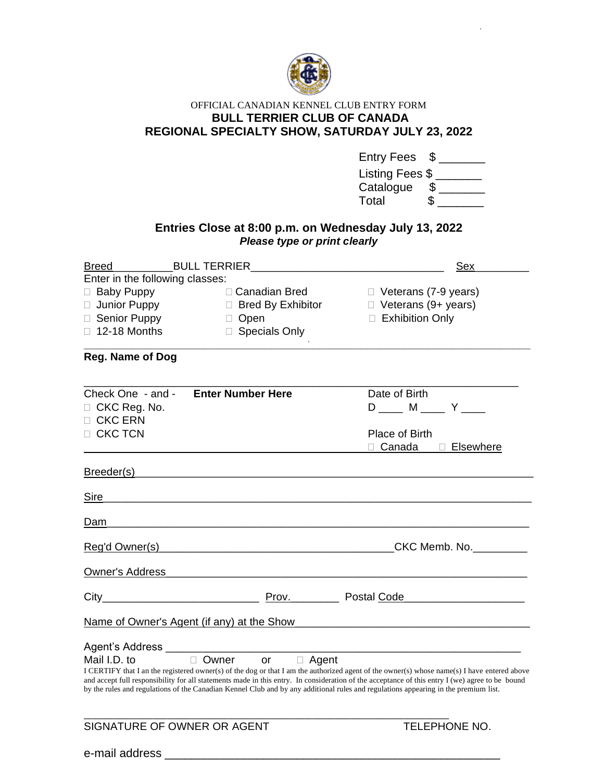

### OFFICIAL CANADIAN KENNEL CLUB ENTRY FORM **BULL TERRIER CLUB OF CANADA REGIONAL SPECIALTY SHOW, SATURDAY JULY 23, 2022**

|                                                       | Entries Close at 8:00 p.m. on Wednesday July 13, 2022                                                          | Entry Fees<br>Listing Fees \$<br>Catalogue<br>$\frac{1}{2}$<br>Total                                                                                                                                                                                                                                                                                                                                                                  |
|-------------------------------------------------------|----------------------------------------------------------------------------------------------------------------|---------------------------------------------------------------------------------------------------------------------------------------------------------------------------------------------------------------------------------------------------------------------------------------------------------------------------------------------------------------------------------------------------------------------------------------|
|                                                       | Please type or print clearly                                                                                   | Sex                                                                                                                                                                                                                                                                                                                                                                                                                                   |
| Enter in the following classes:                       |                                                                                                                |                                                                                                                                                                                                                                                                                                                                                                                                                                       |
| Baby Puppy                                            | $\Box$ Canadian Bred                                                                                           | $\Box$ Veterans (7-9 years)                                                                                                                                                                                                                                                                                                                                                                                                           |
| □ Senior Puppy                                        | □ Junior Puppy □ Bred By Exhibitor<br>□ Open                                                                   | $\Box$ Veterans (9+ years)<br>□ Exhibition Only                                                                                                                                                                                                                                                                                                                                                                                       |
| $\Box$ 12-18 Months                                   | □ Specials Only                                                                                                |                                                                                                                                                                                                                                                                                                                                                                                                                                       |
| <b>Reg. Name of Dog</b>                               |                                                                                                                |                                                                                                                                                                                                                                                                                                                                                                                                                                       |
| Check One - and -<br>$\Box$ CKC Reg. No.<br>□ CKC ERN | <b>Enter Number Here</b>                                                                                       | Date of Birth<br>D ____ M ____ Y ____                                                                                                                                                                                                                                                                                                                                                                                                 |
| $\Box$ CKC TCN                                        |                                                                                                                | Place of Birth<br>□ Canada □ Elsewhere                                                                                                                                                                                                                                                                                                                                                                                                |
|                                                       | Breeder(s) experience and the set of the set of the set of the set of the set of the set of the set of the set |                                                                                                                                                                                                                                                                                                                                                                                                                                       |
| Sire                                                  |                                                                                                                |                                                                                                                                                                                                                                                                                                                                                                                                                                       |
| <u>Dam</u>                                            |                                                                                                                |                                                                                                                                                                                                                                                                                                                                                                                                                                       |
| Reg'd Owner(s)                                        |                                                                                                                |                                                                                                                                                                                                                                                                                                                                                                                                                                       |
| <b>Owner's Address</b>                                |                                                                                                                |                                                                                                                                                                                                                                                                                                                                                                                                                                       |
| City                                                  | Prov.                                                                                                          | Postal Code                                                                                                                                                                                                                                                                                                                                                                                                                           |
| Name of Owner's Agent (if any) at the Show            |                                                                                                                |                                                                                                                                                                                                                                                                                                                                                                                                                                       |
| Agent's Address ___<br>Mail I.D. to                   | Owner<br>□ Agent<br>or                                                                                         | I CERTIFY that I an the registered owner(s) of the dog or that I am the authorized agent of the owner(s) whose name(s) I have entered above<br>and accept full responsibility for all statements made in this entry. In consideration of the acceptance of this entry I (we) agree to be bound<br>by the rules and regulations of the Canadian Kennel Club and by any additional rules and regulations appearing in the premium list. |
| SIGNATURE OF OWNER OR AGENT                           |                                                                                                                | <b>TELEPHONE NO.</b>                                                                                                                                                                                                                                                                                                                                                                                                                  |

e-mail address \_\_\_\_\_\_\_\_\_\_\_\_\_\_\_\_\_\_\_\_\_\_\_\_\_\_\_\_\_\_\_\_\_\_\_\_\_\_\_\_\_\_\_\_\_\_\_\_\_\_\_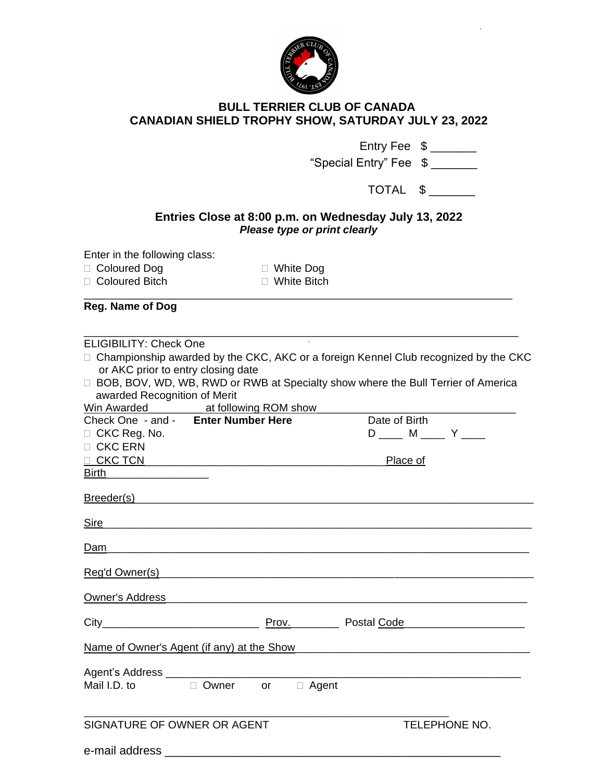

## **BULL TERRIER CLUB OF CANADA CANADIAN SHIELD TROPHY SHOW, SATURDAY JULY 23, 2022**

|                                                                                                                                                                                                                                                                         |                                                                                                                         |                                | Entry Fee $\frac{1}{2}$                                                                    |
|-------------------------------------------------------------------------------------------------------------------------------------------------------------------------------------------------------------------------------------------------------------------------|-------------------------------------------------------------------------------------------------------------------------|--------------------------------|--------------------------------------------------------------------------------------------|
|                                                                                                                                                                                                                                                                         |                                                                                                                         | "Special Entry" Fee \$ _______ |                                                                                            |
|                                                                                                                                                                                                                                                                         |                                                                                                                         |                                | TOTAL \$                                                                                   |
|                                                                                                                                                                                                                                                                         | Entries Close at 8:00 p.m. on Wednesday July 13, 2022                                                                   | Please type or print clearly   |                                                                                            |
| Enter in the following class:<br>□ Coloured Dog<br>□ Coloured Bitch                                                                                                                                                                                                     | $\Box$ White Dog<br>$\Box$ White Bitch                                                                                  |                                |                                                                                            |
| <b>Reg. Name of Dog</b>                                                                                                                                                                                                                                                 |                                                                                                                         |                                |                                                                                            |
| <b>ELIGIBILITY: Check One</b><br>or AKC prior to entry closing date<br>awarded Recognition of Merit                                                                                                                                                                     | □ BOB, BOV, WD, WB, RWD or RWB at Specialty show where the Bull Terrier of America<br>Win Awarded at following ROM show |                                | $\Box$ Championship awarded by the CKC, AKC or a foreign Kennel Club recognized by the CKC |
| Check One - and - Enter Number Here                                                                                                                                                                                                                                     |                                                                                                                         | Date of Birth                  |                                                                                            |
| $\Box$ CKC Reg. No.<br>□ CKC ERN                                                                                                                                                                                                                                        |                                                                                                                         |                                | $D$ _____ M _____ Y ____                                                                   |
|                                                                                                                                                                                                                                                                         |                                                                                                                         | Place of                       |                                                                                            |
| <b>Birth Example 19</b>                                                                                                                                                                                                                                                 |                                                                                                                         |                                |                                                                                            |
|                                                                                                                                                                                                                                                                         |                                                                                                                         |                                |                                                                                            |
| <u>Sire</u>                                                                                                                                                                                                                                                             |                                                                                                                         |                                |                                                                                            |
| Dam                                                                                                                                                                                                                                                                     |                                                                                                                         |                                |                                                                                            |
| Reg'd Owner(s)                                                                                                                                                                                                                                                          |                                                                                                                         |                                |                                                                                            |
|                                                                                                                                                                                                                                                                         |                                                                                                                         |                                |                                                                                            |
| $City$ and $City$ and $City$ and $City$ and $City$ and $City$ and $City$ and $City$ and $City$ and $City$ and $City$ and $City$ and $City$ and $City$ and $City$ and $City$ and $Cty$ and $Cty$ and $Cty$ and $Cty$ and $Cty$ and $Cty$ and $Cty$ and $Cty$ and $Cty$ a |                                                                                                                         |                                | Prov. Postal Code Proventilla                                                              |
|                                                                                                                                                                                                                                                                         | Name of Owner's Agent (if any) at the Show Manuson Communication of Owner's Agent (if any) at the Show                  |                                |                                                                                            |
|                                                                                                                                                                                                                                                                         |                                                                                                                         |                                |                                                                                            |
| Mail I.D. to                                                                                                                                                                                                                                                            | □ Owner or □ Agent                                                                                                      |                                |                                                                                            |
| SIGNATURE OF OWNER OR AGENT                                                                                                                                                                                                                                             |                                                                                                                         |                                | <b>TELEPHONE NO.</b>                                                                       |
| e-mail address                                                                                                                                                                                                                                                          |                                                                                                                         |                                |                                                                                            |